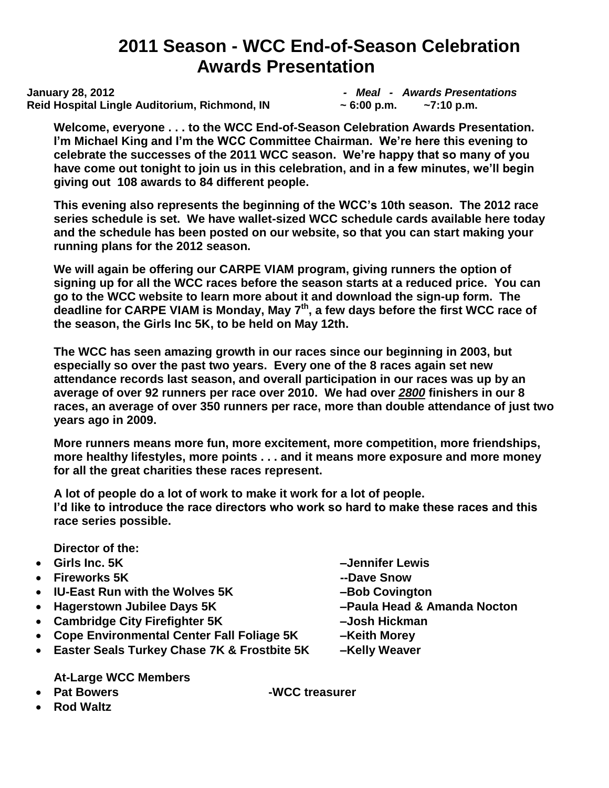# **2011 Season - WCC End-of-Season Celebration Awards Presentation**

**January 28, 2012** *- Meal - Awards Presentations* **Reid Hospital Lingle Auditorium, Richmond, IN ~ 6:00 p.m. ~7:10 p.m.** 

**Welcome, everyone . . . to the WCC End-of-Season Celebration Awards Presentation. I'm Michael King and I'm the WCC Committee Chairman. We're here this evening to celebrate the successes of the 2011 WCC season. We're happy that so many of you have come out tonight to join us in this celebration, and in a few minutes, we'll begin giving out 108 awards to 84 different people.** 

**This evening also represents the beginning of the WCC's 10th season. The 2012 race series schedule is set. We have wallet-sized WCC schedule cards available here today and the schedule has been posted on our website, so that you can start making your running plans for the 2012 season.**

**We will again be offering our CARPE VIAM program, giving runners the option of signing up for all the WCC races before the season starts at a reduced price. You can go to the WCC website to learn more about it and download the sign-up form. The**  deadline for CARPE VIAM is Monday, May 7<sup>th</sup>, a few days before the first WCC race of **the season, the Girls Inc 5K, to be held on May 12th.** 

**The WCC has seen amazing growth in our races since our beginning in 2003, but especially so over the past two years. Every one of the 8 races again set new attendance records last season, and overall participation in our races was up by an average of over 92 runners per race over 2010. We had over** *2800* **finishers in our 8 races, an average of over 350 runners per race, more than double attendance of just two years ago in 2009.** 

**More runners means more fun, more excitement, more competition, more friendships, more healthy lifestyles, more points . . . and it means more exposure and more money for all the great charities these races represent.** 

**A lot of people do a lot of work to make it work for a lot of people. I'd like to introduce the race directors who work so hard to make these races and this race series possible.**

**Director of the:** 

- 
- **Fireworks 5K --Dave Snow**
- IU-East Run with the Wolves 5K Bob Covington
- **Hagerstown Jubilee Days 5K –Paula Head & Amanda Nocton**
- **Cambridge City Firefighter 5K –Josh Hickman**
- **Cope Environmental Center Fall Foliage 5K –Keith Morey**
- **Easter Seals Turkey Chase 7K & Frostbite 5K –Kelly Weaver**

**At-Large WCC Members**

- **Pat Bowers -WCC treasurer**
- **Rod Waltz**
- **Girls Inc. 5K –Jennifer Lewis** 
	-
	-
	-
	-
	-
	-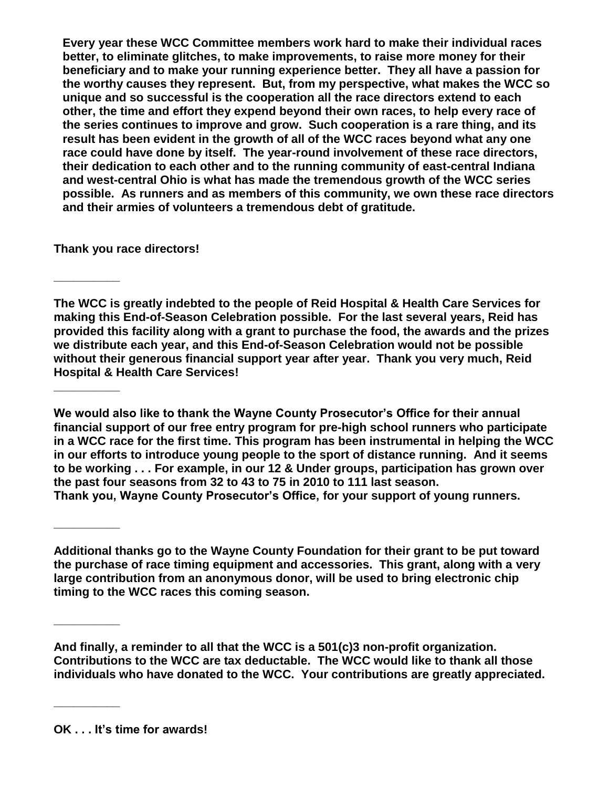**Every year these WCC Committee members work hard to make their individual races better, to eliminate glitches, to make improvements, to raise more money for their beneficiary and to make your running experience better. They all have a passion for the worthy causes they represent. But, from my perspective, what makes the WCC so unique and so successful is the cooperation all the race directors extend to each other, the time and effort they expend beyond their own races, to help every race of the series continues to improve and grow. Such cooperation is a rare thing, and its result has been evident in the growth of all of the WCC races beyond what any one race could have done by itself. The year-round involvement of these race directors, their dedication to each other and to the running community of east-central Indiana and west-central Ohio is what has made the tremendous growth of the WCC series possible. As runners and as members of this community, we own these race directors and their armies of volunteers a tremendous debt of gratitude.** 

**Thank you race directors!**

**\_\_\_\_\_\_\_\_\_\_**

**\_\_\_\_\_\_\_\_\_\_**

**\_\_\_\_\_\_\_\_\_\_**

**\_\_\_\_\_\_\_\_\_\_** 

**\_\_\_\_\_\_\_\_\_\_** 

**The WCC is greatly indebted to the people of Reid Hospital & Health Care Services for making this End-of-Season Celebration possible. For the last several years, Reid has provided this facility along with a grant to purchase the food, the awards and the prizes we distribute each year, and this End-of-Season Celebration would not be possible without their generous financial support year after year. Thank you very much, Reid Hospital & Health Care Services!** 

**We would also like to thank the Wayne County Prosecutor's Office for their annual financial support of our free entry program for pre-high school runners who participate in a WCC race for the first time. This program has been instrumental in helping the WCC in our efforts to introduce young people to the sport of distance running. And it seems to be working . . . For example, in our 12 & Under groups, participation has grown over the past four seasons from 32 to 43 to 75 in 2010 to 111 last season. Thank you, Wayne County Prosecutor's Office, for your support of young runners.**

**Additional thanks go to the Wayne County Foundation for their grant to be put toward the purchase of race timing equipment and accessories. This grant, along with a very large contribution from an anonymous donor, will be used to bring electronic chip timing to the WCC races this coming season.** 

**And finally, a reminder to all that the WCC is a 501(c)3 non-profit organization. Contributions to the WCC are tax deductable. The WCC would like to thank all those individuals who have donated to the WCC. Your contributions are greatly appreciated.**

**OK . . . It's time for awards!**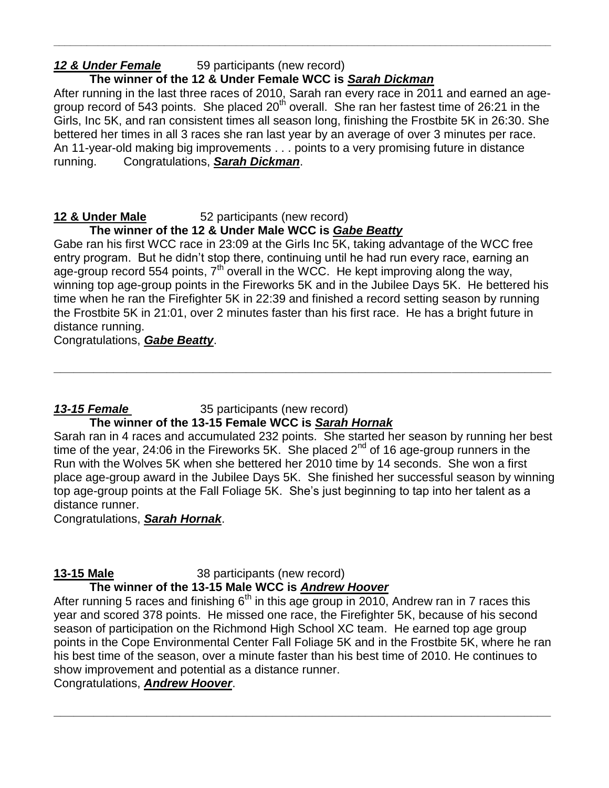# *12 & Under Female* 59 participants (new record)

# **The winner of the 12 & Under Female WCC is** *Sarah Dickman*

After running in the last three races of 2010, Sarah ran every race in 2011 and earned an agegroup record of 543 points. She placed 20<sup>th</sup> overall. She ran her fastest time of 26:21 in the Girls, Inc 5K, and ran consistent times all season long, finishing the Frostbite 5K in 26:30. She bettered her times in all 3 races she ran last year by an average of over 3 minutes per race. An 11-year-old making big improvements . . . points to a very promising future in distance running. Congratulations, *Sarah Dickman*.

**\_\_\_\_\_\_\_\_\_\_\_\_\_\_\_\_\_\_\_\_\_\_\_\_\_\_\_\_\_\_\_\_\_\_\_\_\_\_\_\_\_\_\_\_\_\_\_\_\_\_\_\_\_\_\_\_\_\_\_\_\_\_\_\_\_\_\_\_\_\_\_\_\_\_\_\_\_\_\_\_\_\_\_\_\_\_\_\_\_\_**

# **12 & Under Male** 52 participants (new record)

# **The winner of the 12 & Under Male WCC is** *Gabe Beatty*

Gabe ran his first WCC race in 23:09 at the Girls Inc 5K, taking advantage of the WCC free entry program. But he didn't stop there, continuing until he had run every race, earning an age-group record 554 points,  $7<sup>th</sup>$  overall in the WCC. He kept improving along the way, winning top age-group points in the Fireworks 5K and in the Jubilee Days 5K. He bettered his time when he ran the Firefighter 5K in 22:39 and finished a record setting season by running the Frostbite 5K in 21:01, over 2 minutes faster than his first race. He has a bright future in distance running.

**\_\_\_\_\_\_\_\_\_\_\_\_\_\_\_\_\_\_\_\_\_\_\_\_\_\_\_\_\_\_\_\_\_\_\_\_\_\_\_\_\_\_\_\_\_\_\_\_\_\_\_\_\_\_\_\_\_\_\_\_\_\_\_\_\_\_\_\_\_\_\_\_\_\_\_**

Congratulations, *Gabe Beatty*.

# *13-15 Female* 35 participants (new record)

### **The winner of the 13-15 Female WCC is** *Sarah Hornak*

Sarah ran in 4 races and accumulated 232 points. She started her season by running her best time of the year, 24:06 in the Fireworks 5K. She placed  $2^{nd}$  of 16 age-group runners in the Run with the Wolves 5K when she bettered her 2010 time by 14 seconds. She won a first place age-group award in the Jubilee Days 5K. She finished her successful season by winning top age-group points at the Fall Foliage 5K. She's just beginning to tap into her talent as a distance runner.

Congratulations, *Sarah Hornak*.

# **13-15 Male** 38 participants (new record)

# **The winner of the 13-15 Male WCC is** *Andrew Hoover*

After running 5 races and finishing  $6<sup>th</sup>$  in this age group in 2010, Andrew ran in 7 races this year and scored 378 points. He missed one race, the Firefighter 5K, because of his second season of participation on the Richmond High School XC team. He earned top age group points in the Cope Environmental Center Fall Foliage 5K and in the Frostbite 5K, where he ran his best time of the season, over a minute faster than his best time of 2010. He continues to show improvement and potential as a distance runner.

**\_\_\_\_\_\_\_\_\_\_\_\_\_\_\_\_\_\_\_\_\_\_\_\_\_\_\_\_\_\_\_\_\_\_\_\_\_\_\_\_\_\_\_\_\_\_\_\_\_\_\_\_\_\_\_\_\_\_\_\_\_\_\_\_\_\_\_\_\_\_\_\_\_\_\_**

Congratulations, *Andrew Hoover*.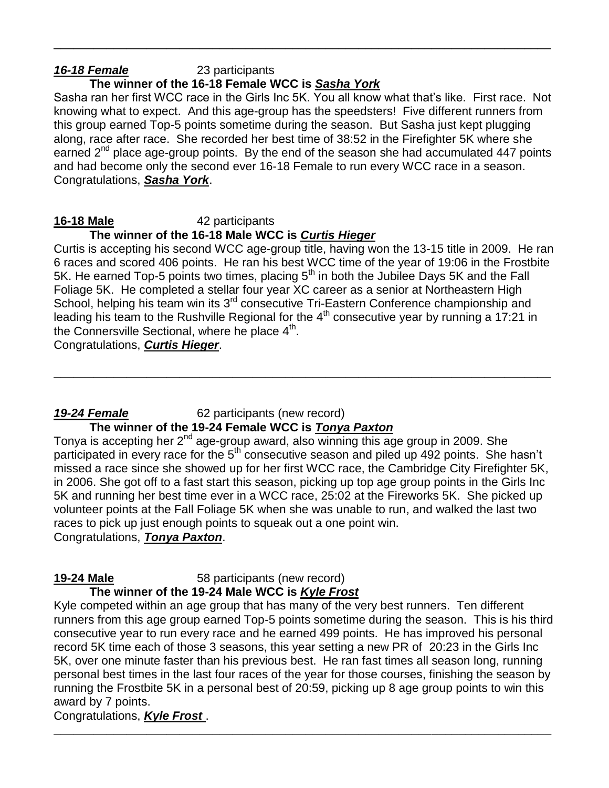# *16-18 Female* 23 participants

# **The winner of the 16-18 Female WCC is** *Sasha York*

Sasha ran her first WCC race in the Girls Inc 5K. You all know what that's like. First race. Not knowing what to expect. And this age-group has the speedsters! Five different runners from this group earned Top-5 points sometime during the season. But Sasha just kept plugging along, race after race. She recorded her best time of 38:52 in the Firefighter 5K where she earned 2<sup>nd</sup> place age-group points. By the end of the season she had accumulated 447 points and had become only the second ever 16-18 Female to run every WCC race in a season. Congratulations, *Sasha York*.

\_\_\_\_\_\_\_\_\_\_\_\_\_\_\_\_\_\_\_\_\_\_\_\_\_\_\_\_\_\_\_\_\_\_\_\_\_\_\_\_\_\_\_\_\_\_\_\_\_\_\_\_\_\_\_\_\_\_\_\_\_\_\_\_\_\_\_\_\_\_\_\_\_\_\_

# **16-18 Male** 42 participants

# **The winner of the 16-18 Male WCC is** *Curtis Hieger*

Curtis is accepting his second WCC age-group title, having won the 13-15 title in 2009. He ran 6 races and scored 406 points. He ran his best WCC time of the year of 19:06 in the Frostbite 5K. He earned Top-5 points two times, placing 5<sup>th</sup> in both the Jubilee Days 5K and the Fall Foliage 5K. He completed a stellar four year XC career as a senior at Northeastern High School, helping his team win its 3<sup>rd</sup> consecutive Tri-Eastern Conference championship and leading his team to the Rushville Regional for the 4<sup>th</sup> consecutive year by running a 17:21 in the Connersville Sectional, where he place 4<sup>th</sup>.

**\_\_\_\_\_\_\_\_\_\_\_\_\_\_\_\_\_\_\_\_\_\_\_\_\_\_\_\_\_\_\_\_\_\_\_\_\_\_\_\_\_\_\_\_\_\_\_\_\_\_\_\_\_\_\_\_\_\_\_\_\_\_\_\_\_\_\_\_\_\_\_\_\_\_\_**

Congratulations, *Curtis Hieger*.

### *19-24 Female* 62 participants (new record) **The winner of the 19-24 Female WCC is** *Tonya Paxton*

Tonya is accepting her  $2^{nd}$  age-group award, also winning this age group in 2009. She participated in every race for the 5<sup>th</sup> consecutive season and piled up 492 points. She hasn't missed a race since she showed up for her first WCC race, the Cambridge City Firefighter 5K, in 2006. She got off to a fast start this season, picking up top age group points in the Girls Inc 5K and running her best time ever in a WCC race, 25:02 at the Fireworks 5K. She picked up volunteer points at the Fall Foliage 5K when she was unable to run, and walked the last two races to pick up just enough points to squeak out a one point win. Congratulations, *Tonya Paxton*.

**19-24 Male** 58 participants (new record)

**The winner of the 19-24 Male WCC is** *Kyle Frost*

Kyle competed within an age group that has many of the very best runners. Ten different runners from this age group earned Top-5 points sometime during the season. This is his third consecutive year to run every race and he earned 499 points. He has improved his personal record 5K time each of those 3 seasons, this year setting a new PR of 20:23 in the Girls Inc 5K, over one minute faster than his previous best. He ran fast times all season long, running personal best times in the last four races of the year for those courses, finishing the season by running the Frostbite 5K in a personal best of 20:59, picking up 8 age group points to win this award by 7 points.

### Congratulations, *Kyle Frost* . **\_\_\_\_\_\_\_\_\_\_\_\_\_\_\_\_\_\_\_\_\_\_\_\_\_\_\_\_\_\_\_\_\_\_\_\_\_\_\_\_\_\_\_\_\_\_\_\_\_\_\_\_\_\_\_\_\_\_\_\_\_\_\_\_\_\_\_\_\_\_\_\_\_\_\_**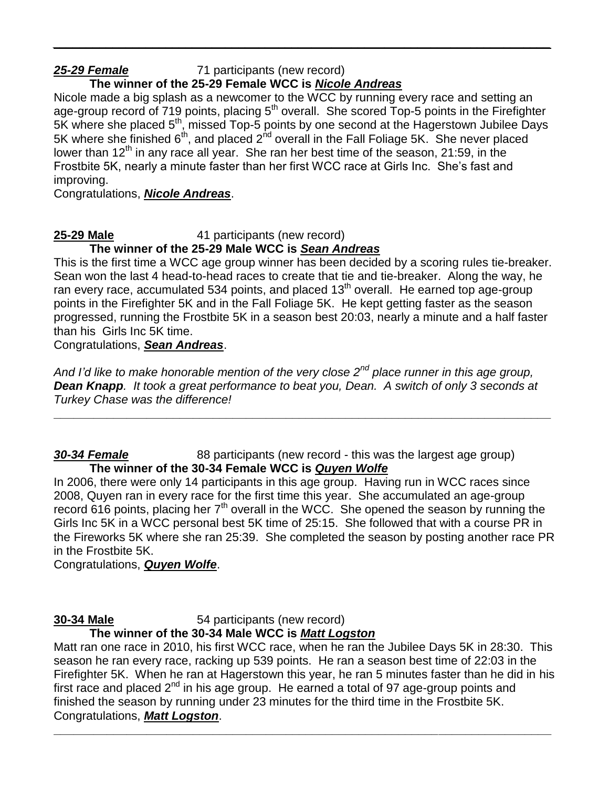### *25-29 Female* 71 participants (new record)

### **The winner of the 25-29 Female WCC is** *Nicole Andreas*

Nicole made a big splash as a newcomer to the WCC by running every race and setting an age-group record of 719 points, placing 5<sup>th</sup> overall. She scored Top-5 points in the Firefighter 5K where she placed  $5<sup>th</sup>$ , missed Top-5 points by one second at the Hagerstown Jubilee Days 5K where she finished  $6<sup>th</sup>$ , and placed  $2<sup>hd</sup>$  overall in the Fall Foliage 5K. She never placed lower than 12<sup>th</sup> in any race all year. She ran her best time of the season, 21:59, in the Frostbite 5K, nearly a minute faster than her first WCC race at Girls Inc. She's fast and improving.

*\_\_\_\_\_\_\_\_\_\_\_\_\_\_\_\_\_\_\_\_\_\_\_\_\_\_\_\_\_\_\_\_\_\_\_\_\_\_\_\_\_\_\_\_\_\_\_\_\_\_\_\_\_\_\_\_\_\_\_\_\_\_\_\_\_\_\_\_\_\_\_\_\_\_\_*

Congratulations, *Nicole Andreas*.

### **25-29 Male** 41 participants (new record)

**The winner of the 25-29 Male WCC is** *Sean Andreas*

This is the first time a WCC age group winner has been decided by a scoring rules tie-breaker. Sean won the last 4 head-to-head races to create that tie and tie-breaker. Along the way, he ran every race, accumulated 534 points, and placed  $13<sup>th</sup>$  overall. He earned top age-group points in the Firefighter 5K and in the Fall Foliage 5K. He kept getting faster as the season progressed, running the Frostbite 5K in a season best 20:03, nearly a minute and a half faster than his Girls Inc 5K time.

Congratulations, *Sean Andreas*.

*And I'd like to make honorable mention of the very close 2nd place runner in this age group, Dean Knapp. It took a great performance to beat you, Dean. A switch of only 3 seconds at Turkey Chase was the difference!*

**\_\_\_\_\_\_\_\_\_\_\_\_\_\_\_\_\_\_\_\_\_\_\_\_\_\_\_\_\_\_\_\_\_\_\_\_\_\_\_\_\_\_\_\_\_\_\_\_\_\_\_\_\_\_\_\_\_\_\_\_\_\_\_\_\_\_\_\_\_\_\_\_\_\_\_**

### **30-34 Female** 88 participants (new record - this was the largest age group) **The winner of the 30-34 Female WCC is** *Quyen Wolfe*

In 2006, there were only 14 participants in this age group. Having run in WCC races since 2008, Quyen ran in every race for the first time this year. She accumulated an age-group record 616 points, placing her  $7<sup>th</sup>$  overall in the WCC. She opened the season by running the Girls Inc 5K in a WCC personal best 5K time of 25:15. She followed that with a course PR in the Fireworks 5K where she ran 25:39. She completed the season by posting another race PR in the Frostbite 5K.

Congratulations, *Quyen Wolfe*.

# **30-34 Male** 54 participants (new record)

### **The winner of the 30-34 Male WCC is** *Matt Logston*

Matt ran one race in 2010, his first WCC race, when he ran the Jubilee Days 5K in 28:30. This season he ran every race, racking up 539 points. He ran a season best time of 22:03 in the Firefighter 5K. When he ran at Hagerstown this year, he ran 5 minutes faster than he did in his first race and placed  $2^{nd}$  in his age group. He earned a total of 97 age-group points and finished the season by running under 23 minutes for the third time in the Frostbite 5K. Congratulations, *Matt Logston*.

**\_\_\_\_\_\_\_\_\_\_\_\_\_\_\_\_\_\_\_\_\_\_\_\_\_\_\_\_\_\_\_\_\_\_\_\_\_\_\_\_\_\_\_\_\_\_\_\_\_\_\_\_\_\_\_\_\_\_\_\_\_\_\_\_\_\_\_\_\_\_\_\_\_\_\_**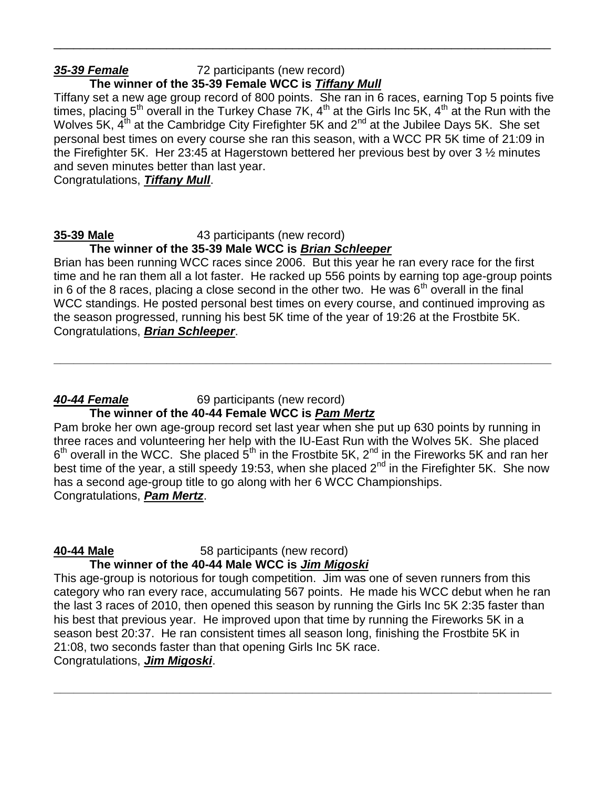# *35-39 Female* 72 participants (new record)

# **The winner of the 35-39 Female WCC is** *Tiffany Mull*

Tiffany set a new age group record of 800 points. She ran in 6 races, earning Top 5 points five times, placing 5<sup>th</sup> overall in the Turkey Chase 7K, 4<sup>th</sup> at the Girls Inc 5K, 4<sup>th</sup> at the Run with the Wolves 5K,  $\tilde{A}^{th}$  at the Cambridge City Firefighter 5K and 2<sup>nd</sup> at the Jubilee Days 5K. She set personal best times on every course she ran this season, with a WCC PR 5K time of 21:09 in the Firefighter 5K. Her 23:45 at Hagerstown bettered her previous best by over 3 ½ minutes and seven minutes better than last year.

\_\_\_\_\_\_\_\_\_\_\_\_\_\_\_\_\_\_\_\_\_\_\_\_\_\_\_\_\_\_\_\_\_\_\_\_\_\_\_\_\_\_\_\_\_\_\_\_\_\_\_\_\_\_\_\_\_\_\_\_\_\_\_\_\_\_\_\_\_\_\_\_\_\_\_

Congratulations, *Tiffany Mull*.

### **35-39 Male** 43 participants (new record)

**The winner of the 35-39 Male WCC is** *Brian Schleeper*

Brian has been running WCC races since 2006. But this year he ran every race for the first time and he ran them all a lot faster. He racked up 556 points by earning top age-group points in 6 of the 8 races, placing a close second in the other two. He was  $6<sup>th</sup>$  overall in the final WCC standings. He posted personal best times on every course, and continued improving as the season progressed, running his best 5K time of the year of 19:26 at the Frostbite 5K. Congratulations, *Brian Schleeper*.

**\_\_\_\_\_\_\_\_\_\_\_\_\_\_\_\_\_\_\_\_\_\_\_\_\_\_\_\_\_\_\_\_\_\_\_\_\_\_\_\_\_\_\_\_\_\_\_\_\_\_\_\_\_\_\_\_\_\_\_\_\_\_\_\_\_\_\_\_\_\_\_\_\_\_\_**

*40-44 Female* 69 participants (new record)

# **The winner of the 40-44 Female WCC is** *Pam Mertz*

Pam broke her own age-group record set last year when she put up 630 points by running in three races and volunteering her help with the IU-East Run with the Wolves 5K. She placed  $6<sup>th</sup>$  overall in the WCC. She placed  $5<sup>th</sup>$  in the Frostbite 5K, 2<sup>nd</sup> in the Fireworks 5K and ran her best time of the year, a still speedy 19:53, when she placed  $2<sup>nd</sup>$  in the Firefighter 5K. She now has a second age-group title to go along with her 6 WCC Championships. Congratulations, *Pam Mertz*.

**40-44 Male** 58 participants (new record) **The winner of the 40-44 Male WCC is** *Jim Migoski*

This age-group is notorious for tough competition. Jim was one of seven runners from this category who ran every race, accumulating 567 points. He made his WCC debut when he ran the last 3 races of 2010, then opened this season by running the Girls Inc 5K 2:35 faster than his best that previous year. He improved upon that time by running the Fireworks 5K in a season best 20:37. He ran consistent times all season long, finishing the Frostbite 5K in 21:08, two seconds faster than that opening Girls Inc 5K race.

**\_\_\_\_\_\_\_\_\_\_\_\_\_\_\_\_\_\_\_\_\_\_\_\_\_\_\_\_\_\_\_\_\_\_\_\_\_\_\_\_\_\_\_\_\_\_\_\_\_\_\_\_\_\_\_\_\_\_\_\_\_\_\_\_\_\_\_\_\_\_\_\_\_\_\_**

Congratulations, *Jim Migoski*.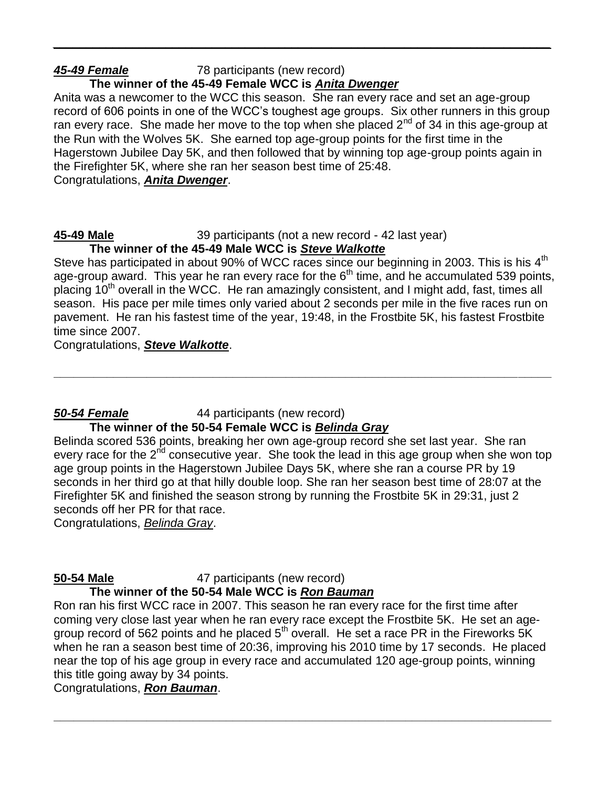# *45-49 Female* 78 participants (new record)

# **The winner of the 45-49 Female WCC is** *Anita Dwenger*

Anita was a newcomer to the WCC this season. She ran every race and set an age-group record of 606 points in one of the WCC's toughest age groups. Six other runners in this group ran every race. She made her move to the top when she placed  $2^{nd}$  of 34 in this age-group at the Run with the Wolves 5K. She earned top age-group points for the first time in the Hagerstown Jubilee Day 5K, and then followed that by winning top age-group points again in the Firefighter 5K, where she ran her season best time of 25:48. Congratulations, *Anita Dwenger*.

*\_\_\_\_\_\_\_\_\_\_\_\_\_\_\_\_\_\_\_\_\_\_\_\_\_\_\_\_\_\_\_\_\_\_\_\_\_\_\_\_\_\_\_\_\_\_\_\_\_\_\_\_\_\_\_\_\_\_\_\_\_\_\_\_\_\_\_\_\_\_\_\_\_\_\_*

### **45-49 Male** 39 participants (not a new record - 42 last year) **The winner of the 45-49 Male WCC is** *Steve Walkotte*

Steve has participated in about 90% of WCC races since our beginning in 2003. This is his 4<sup>th</sup> age-group award. This year he ran every race for the  $6<sup>th</sup>$  time, and he accumulated 539 points, placing 10<sup>th</sup> overall in the WCC. He ran amazingly consistent, and I might add, fast, times all season. His pace per mile times only varied about 2 seconds per mile in the five races run on pavement. He ran his fastest time of the year, 19:48, in the Frostbite 5K, his fastest Frostbite time since 2007.

**\_\_\_\_\_\_\_\_\_\_\_\_\_\_\_\_\_\_\_\_\_\_\_\_\_\_\_\_\_\_\_\_\_\_\_\_\_\_\_\_\_\_\_\_\_\_\_\_\_\_\_\_\_\_\_\_\_\_\_\_\_\_\_\_\_\_\_\_\_\_\_\_\_\_\_**

Congratulations, *Steve Walkotte*.

### *50-54 Female* 44 participants (new record) **The winner of the 50-54 Female WCC is** *Belinda Gray*

Belinda scored 536 points, breaking her own age-group record she set last year. She ran every race for the  $2<sup>nd</sup>$  consecutive year. She took the lead in this age group when she won top age group points in the Hagerstown Jubilee Days 5K, where she ran a course PR by 19 seconds in her third go at that hilly double loop. She ran her season best time of 28:07 at the Firefighter 5K and finished the season strong by running the Frostbite 5K in 29:31, just 2 seconds off her PR for that race.

Congratulations, *Belinda Gray*.

**50-54 Male** 47 participants (new record) **The winner of the 50-54 Male WCC is** *Ron Bauman*

Ron ran his first WCC race in 2007. This season he ran every race for the first time after coming very close last year when he ran every race except the Frostbite 5K. He set an agegroup record of 562 points and he placed  $5<sup>th</sup>$  overall. He set a race PR in the Fireworks  $5K$ when he ran a season best time of 20:36, improving his 2010 time by 17 seconds. He placed near the top of his age group in every race and accumulated 120 age-group points, winning this title going away by 34 points.

**\_\_\_\_\_\_\_\_\_\_\_\_\_\_\_\_\_\_\_\_\_\_\_\_\_\_\_\_\_\_\_\_\_\_\_\_\_\_\_\_\_\_\_\_\_\_\_\_\_\_\_\_\_\_\_\_\_\_\_\_\_\_\_\_\_\_\_\_\_\_\_\_\_\_\_**

Congratulations, *Ron Bauman*.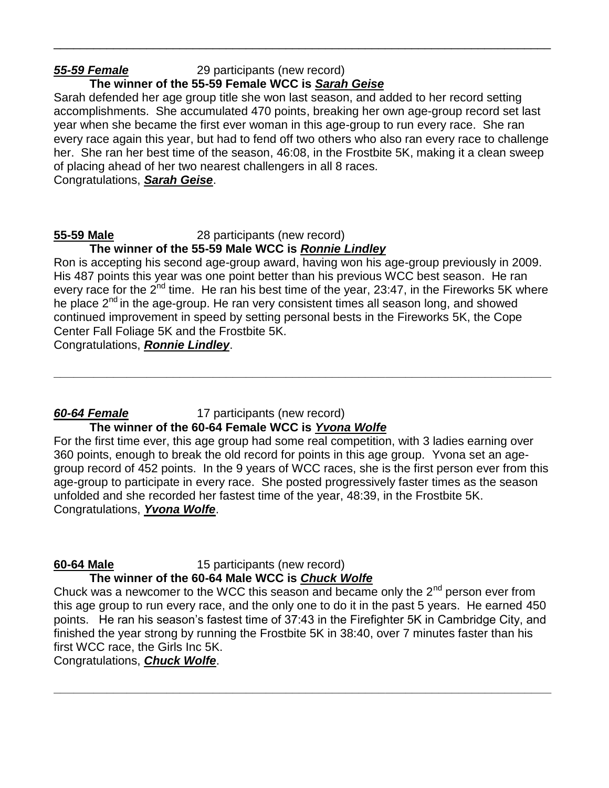# *55-59 Female* 29 participants (new record)

# **The winner of the 55-59 Female WCC is** *Sarah Geise*

Sarah defended her age group title she won last season, and added to her record setting accomplishments. She accumulated 470 points, breaking her own age-group record set last year when she became the first ever woman in this age-group to run every race. She ran every race again this year, but had to fend off two others who also ran every race to challenge her. She ran her best time of the season, 46:08, in the Frostbite 5K, making it a clean sweep of placing ahead of her two nearest challengers in all 8 races. Congratulations, *Sarah Geise*.

\_\_\_\_\_\_\_\_\_\_\_\_\_\_\_\_\_\_\_\_\_\_\_\_\_\_\_\_\_\_\_\_\_\_\_\_\_\_\_\_\_\_\_\_\_\_\_\_\_\_\_\_\_\_\_\_\_\_\_\_\_\_\_\_\_\_\_\_\_\_\_\_\_\_\_

### **55-59 Male** 28 participants (new record)

### **The winner of the 55-59 Male WCC is** *Ronnie Lindley*

Ron is accepting his second age-group award, having won his age-group previously in 2009. His 487 points this year was one point better than his previous WCC best season. He ran every race for the 2<sup>nd</sup> time. He ran his best time of the year, 23:47, in the Fireworks 5K where he place 2<sup>nd</sup> in the age-group. He ran very consistent times all season long, and showed continued improvement in speed by setting personal bests in the Fireworks 5K, the Cope Center Fall Foliage 5K and the Frostbite 5K.

**\_\_\_\_\_\_\_\_\_\_\_\_\_\_\_\_\_\_\_\_\_\_\_\_\_\_\_\_\_\_\_\_\_\_\_\_\_\_\_\_\_\_\_\_\_\_\_\_\_\_\_\_\_\_\_\_\_\_\_\_\_\_\_\_\_\_\_\_\_\_\_\_\_\_\_**

Congratulations, *Ronnie Lindley*.

# *60-64 Female* 17 participants (new record)

# **The winner of the 60-64 Female WCC is** *Yvona Wolfe*

For the first time ever, this age group had some real competition, with 3 ladies earning over 360 points, enough to break the old record for points in this age group. Yvona set an agegroup record of 452 points. In the 9 years of WCC races, she is the first person ever from this age-group to participate in every race. She posted progressively faster times as the season unfolded and she recorded her fastest time of the year, 48:39, in the Frostbite 5K. Congratulations, *Yvona Wolfe*.

**60-64 Male** 15 participants (new record)

### **The winner of the 60-64 Male WCC is** *Chuck Wolfe*

Chuck was a newcomer to the WCC this season and became only the  $2<sup>nd</sup>$  person ever from this age group to run every race, and the only one to do it in the past 5 years. He earned 450 points. He ran his season's fastest time of 37:43 in the Firefighter 5K in Cambridge City, and finished the year strong by running the Frostbite 5K in 38:40, over 7 minutes faster than his first WCC race, the Girls Inc 5K.

**\_\_\_\_\_\_\_\_\_\_\_\_\_\_\_\_\_\_\_\_\_\_\_\_\_\_\_\_\_\_\_\_\_\_\_\_\_\_\_\_\_\_\_\_\_\_\_\_\_\_\_\_\_\_\_\_\_\_\_\_\_\_\_\_\_\_\_\_\_\_\_\_\_\_\_**

Congratulations, *Chuck Wolfe*.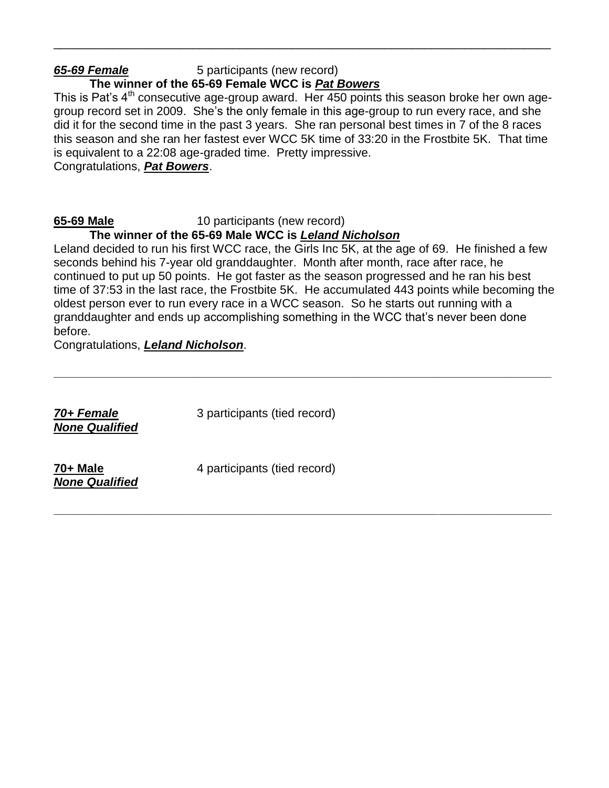# *65-69 Female* 5 participants (new record)

# **The winner of the 65-69 Female WCC is** *Pat Bowers*

This is Pat's  $4<sup>th</sup>$  consecutive age-group award. Her 450 points this season broke her own agegroup record set in 2009. She's the only female in this age-group to run every race, and she did it for the second time in the past 3 years. She ran personal best times in 7 of the 8 races this season and she ran her fastest ever WCC 5K time of 33:20 in the Frostbite 5K. That time is equivalent to a 22:08 age-graded time. Pretty impressive. Congratulations, *Pat Bowers*.

\_\_\_\_\_\_\_\_\_\_\_\_\_\_\_\_\_\_\_\_\_\_\_\_\_\_\_\_\_\_\_\_\_\_\_\_\_\_\_\_\_\_\_\_\_\_\_\_\_\_\_\_\_\_\_\_\_\_\_\_\_\_\_\_\_\_\_\_\_\_\_\_\_\_\_

### **65-69 Male** 10 participants (new record)

### **The winner of the 65-69 Male WCC is** *Leland Nicholson*

Leland decided to run his first WCC race, the Girls Inc 5K, at the age of 69. He finished a few seconds behind his 7-year old granddaughter. Month after month, race after race, he continued to put up 50 points. He got faster as the season progressed and he ran his best time of 37:53 in the last race, the Frostbite 5K. He accumulated 443 points while becoming the oldest person ever to run every race in a WCC season. So he starts out running with a granddaughter and ends up accomplishing something in the WCC that's never been done before.

**\_\_\_\_\_\_\_\_\_\_\_\_\_\_\_\_\_\_\_\_\_\_\_\_\_\_\_\_\_\_\_\_\_\_\_\_\_\_\_\_\_\_\_\_\_\_\_\_\_\_\_\_\_\_\_\_\_\_\_\_\_\_\_\_\_\_\_\_\_\_\_\_\_\_\_**

**\_\_\_\_\_\_\_\_\_\_\_\_\_\_\_\_\_\_\_\_\_\_\_\_\_\_\_\_\_\_\_\_\_\_\_\_\_\_\_\_\_\_\_\_\_\_\_\_\_\_\_\_\_\_\_\_\_\_\_\_\_\_\_\_\_\_\_\_\_\_\_\_\_\_\_**

Congratulations, *Leland Nicholson*.

*70+ Female* 3 participants (tied record) *None Qualified* **70+ Male** 4 participants (tied record) *None Qualified*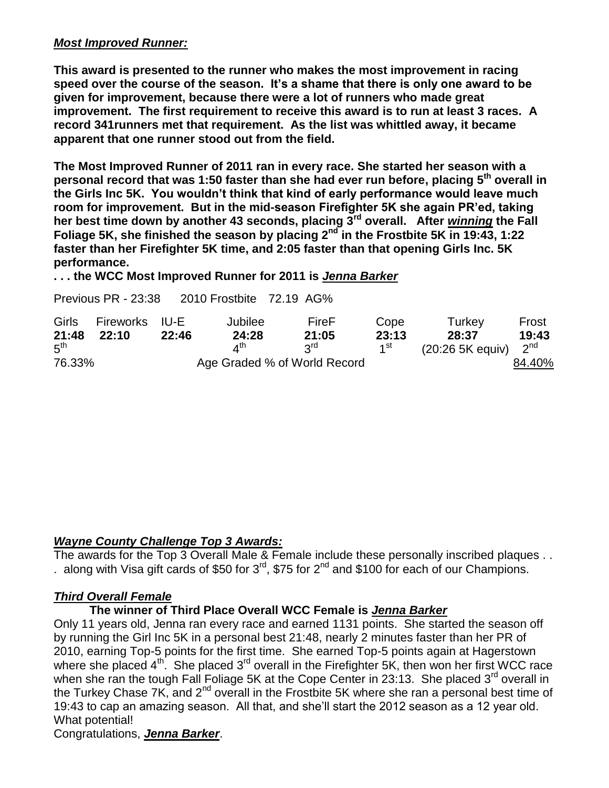### *Most Improved Runner:*

**This award is presented to the runner who makes the most improvement in racing speed over the course of the season. It's a shame that there is only one award to be given for improvement, because there were a lot of runners who made great improvement. The first requirement to receive this award is to run at least 3 races. A record 341runners met that requirement. As the list was whittled away, it became apparent that one runner stood out from the field.** 

**The Most Improved Runner of 2011 ran in every race. She started her season with a personal record that was 1:50 faster than she had ever run before, placing 5th overall in the Girls Inc 5K. You wouldn't think that kind of early performance would leave much room for improvement. But in the mid-season Firefighter 5K she again PR'ed, taking her best time down by another 43 seconds, placing 3rd overall. After** *winning* **the Fall Foliage 5K, she finished the season by placing 2nd in the Frostbite 5K in 19:43, 1:22 faster than her Firefighter 5K time, and 2:05 faster than that opening Girls Inc. 5K performance.** 

**. . . the WCC Most Improved Runner for 2011 is** *Jenna Barker*

Previous PR - 23:38 2010 Frostbite 72.19 AG%

| Girls           | Fireworks IU-E |       | Jubilee               | FireF                        | Cope            | Turkey                  | Frost  |
|-----------------|----------------|-------|-----------------------|------------------------------|-----------------|-------------------------|--------|
| 21:48           | 22:10          | 22:46 | 24:28                 | 21:05                        | 23:13           | 28:37                   | 19:43  |
| $5^{\text{th}}$ |                |       | $\lambda^{\text{th}}$ | <b>PLS</b>                   | 1 <sup>st</sup> | $(20:265K$ equiv) $2nd$ |        |
| 76.33%          |                |       |                       | Age Graded % of World Record |                 |                         | 84.40% |

### *Wayne County Challenge Top 3 Awards:*

The awards for the Top 3 Overall Male & Female include these personally inscribed plaques . . . along with Visa gift cards of \$50 for  $3^{\text{rd}}$ , \$75 for  $2^{\text{nd}}$  and \$100 for each of our Champions.

### *Third Overall Female*

### **The winner of Third Place Overall WCC Female is** *Jenna Barker*

Only 11 years old, Jenna ran every race and earned 1131 points. She started the season off by running the Girl Inc 5K in a personal best 21:48, nearly 2 minutes faster than her PR of 2010, earning Top-5 points for the first time. She earned Top-5 points again at Hagerstown where she placed  $4<sup>th</sup>$ . She placed  $3<sup>rd</sup>$  overall in the Firefighter 5K, then won her first WCC race when she ran the tough Fall Foliage 5K at the Cope Center in 23:13. She placed 3<sup>rd</sup> overall in the Turkey Chase 7K, and 2nd overall in the Frostbite 5K where she ran a personal best time of 19:43 to cap an amazing season. All that, and she'll start the 2012 season as a 12 year old. What potential!

Congratulations, *Jenna Barker*.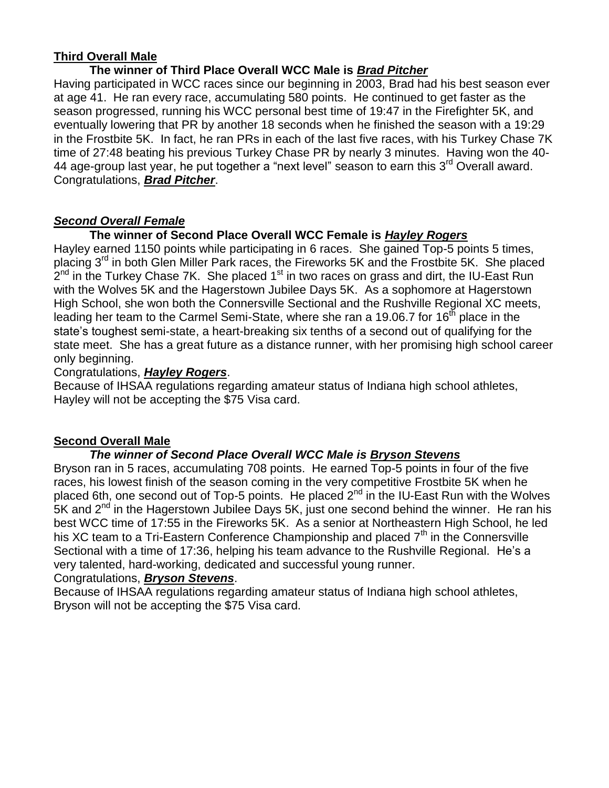### **Third Overall Male**

### **The winner of Third Place Overall WCC Male is** *Brad Pitcher*

Having participated in WCC races since our beginning in 2003, Brad had his best season ever at age 41. He ran every race, accumulating 580 points. He continued to get faster as the season progressed, running his WCC personal best time of 19:47 in the Firefighter 5K, and eventually lowering that PR by another 18 seconds when he finished the season with a 19:29 in the Frostbite 5K. In fact, he ran PRs in each of the last five races, with his Turkey Chase 7K time of 27:48 beating his previous Turkey Chase PR by nearly 3 minutes. Having won the 40- 44 age-group last year, he put together a "next level" season to earn this 3<sup>rd</sup> Overall award. Congratulations, *Brad Pitcher*.

### *Second Overall Female*

### **The winner of Second Place Overall WCC Female is** *Hayley Rogers*

Hayley earned 1150 points while participating in 6 races. She gained Top-5 points 5 times, placing  $3^{rd}$  in both Glen Miller Park races, the Fireworks 5K and the Frostbite 5K. She placed  $2^{nd}$  in the Turkey Chase 7K. She placed 1<sup>st</sup> in two races on grass and dirt, the IU-East Run with the Wolves 5K and the Hagerstown Jubilee Days 5K. As a sophomore at Hagerstown High School, she won both the Connersville Sectional and the Rushville Regional XC meets, leading her team to the Carmel Semi-State, where she ran a 19.06.7 for  $16<sup>th</sup>$  place in the state's toughest semi-state, a heart-breaking six tenths of a second out of qualifying for the state meet. She has a great future as a distance runner, with her promising high school career only beginning.

### Congratulations, *Hayley Rogers*.

Because of IHSAA regulations regarding amateur status of Indiana high school athletes, Hayley will not be accepting the \$75 Visa card.

### **Second Overall Male**

### *The winner of Second Place Overall WCC Male is Bryson Stevens*

Bryson ran in 5 races, accumulating 708 points. He earned Top-5 points in four of the five races, his lowest finish of the season coming in the very competitive Frostbite 5K when he placed 6th, one second out of Top-5 points. He placed  $2^{nd}$  in the IU-East Run with the Wolves  $5K$  and  $2<sup>nd</sup>$  in the Hagerstown Jubilee Days  $5K$ , just one second behind the winner. He ran his best WCC time of 17:55 in the Fireworks 5K. As a senior at Northeastern High School, he led his XC team to a Tri-Eastern Conference Championship and placed  $7<sup>th</sup>$  in the Connersville Sectional with a time of 17:36, helping his team advance to the Rushville Regional. He's a very talented, hard-working, dedicated and successful young runner.

### Congratulations, *Bryson Stevens*.

Because of IHSAA regulations regarding amateur status of Indiana high school athletes, Bryson will not be accepting the \$75 Visa card.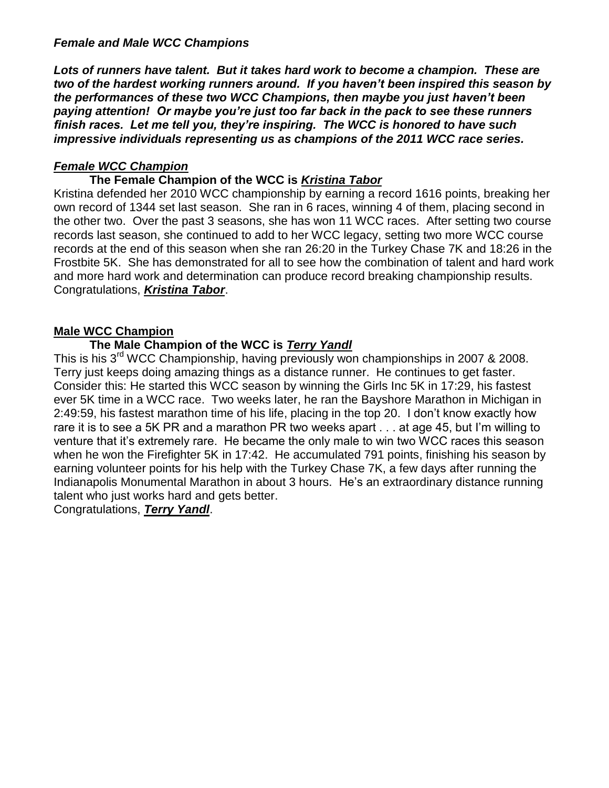### *Female and Male WCC Champions*

*Lots of runners have talent. But it takes hard work to become a champion. These are two of the hardest working runners around. If you haven't been inspired this season by the performances of these two WCC Champions, then maybe you just haven't been paying attention! Or maybe you're just too far back in the pack to see these runners finish races. Let me tell you, they're inspiring. The WCC is honored to have such impressive individuals representing us as champions of the 2011 WCC race series.*

### *Female WCC Champion*

### **The Female Champion of the WCC is** *Kristina Tabor*

Kristina defended her 2010 WCC championship by earning a record 1616 points, breaking her own record of 1344 set last season. She ran in 6 races, winning 4 of them, placing second in the other two. Over the past 3 seasons, she has won 11 WCC races. After setting two course records last season, she continued to add to her WCC legacy, setting two more WCC course records at the end of this season when she ran 26:20 in the Turkey Chase 7K and 18:26 in the Frostbite 5K. She has demonstrated for all to see how the combination of talent and hard work and more hard work and determination can produce record breaking championship results. Congratulations, *Kristina Tabor*.

### **Male WCC Champion**

### **The Male Champion of the WCC is** *Terry Yandl*

This is his 3rd WCC Championship, having previously won championships in 2007 & 2008. Terry just keeps doing amazing things as a distance runner. He continues to get faster. Consider this: He started this WCC season by winning the Girls Inc 5K in 17:29, his fastest ever 5K time in a WCC race. Two weeks later, he ran the Bayshore Marathon in Michigan in 2:49:59, his fastest marathon time of his life, placing in the top 20. I don't know exactly how rare it is to see a 5K PR and a marathon PR two weeks apart . . . at age 45, but I'm willing to venture that it's extremely rare. He became the only male to win two WCC races this season when he won the Firefighter 5K in 17:42. He accumulated 791 points, finishing his season by earning volunteer points for his help with the Turkey Chase 7K, a few days after running the Indianapolis Monumental Marathon in about 3 hours. He's an extraordinary distance running talent who just works hard and gets better.

Congratulations, *Terry Yandl*.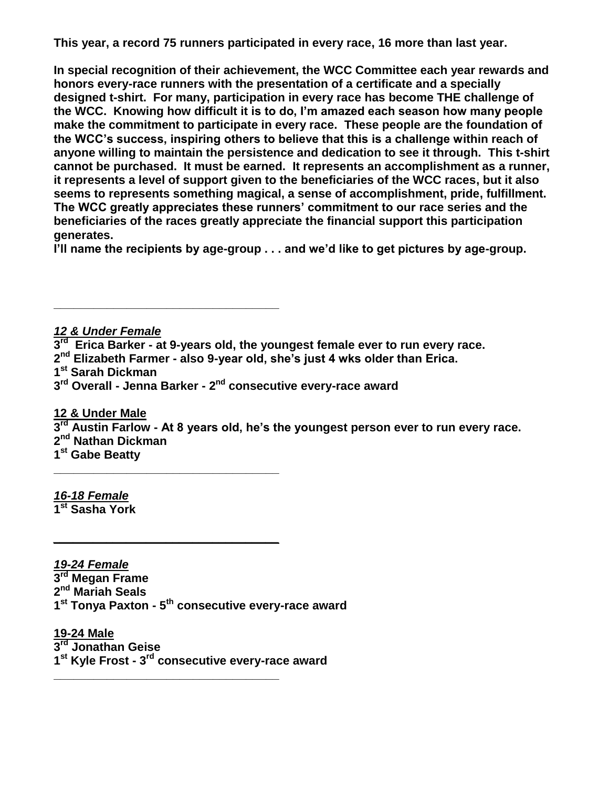**This year, a record 75 runners participated in every race, 16 more than last year.** 

**In special recognition of their achievement, the WCC Committee each year rewards and honors every-race runners with the presentation of a certificate and a specially designed t-shirt. For many, participation in every race has become THE challenge of the WCC. Knowing how difficult it is to do, I'm amazed each season how many people make the commitment to participate in every race. These people are the foundation of the WCC's success, inspiring others to believe that this is a challenge within reach of anyone willing to maintain the persistence and dedication to see it through. This t-shirt cannot be purchased. It must be earned. It represents an accomplishment as a runner, it represents a level of support given to the beneficiaries of the WCC races, but it also seems to represents something magical, a sense of accomplishment, pride, fulfillment. The WCC greatly appreciates these runners' commitment to our race series and the beneficiaries of the races greatly appreciate the financial support this participation generates.** 

**I'll name the recipients by age-group . . . and we'd like to get pictures by age-group.**

*12 & Under Female* **rd Erica Barker - at 9-years old, the youngest female ever to run every race. nd Elizabeth Farmer - also 9-year old, she's just 4 wks older than Erica. st Sarah Dickman rd Overall - Jenna Barker - 2 nd consecutive every-race award**

**12 & Under Male rd Austin Farlow - At 8 years old, he's the youngest person ever to run every race. nd Nathan Dickman st Gabe Beatty**

*16-18 Female* **1 st Sasha York**

*19-24 Female* **rd Megan Frame nd Mariah Seals st Tonya Paxton - 5 th consecutive every-race award**

**\_\_\_\_\_\_\_\_\_\_\_\_\_\_\_\_\_\_\_\_\_\_\_\_\_\_\_\_\_\_\_\_\_\_**

**\_\_\_\_\_\_\_\_\_\_\_\_\_\_\_\_\_\_\_\_\_\_\_\_\_\_\_\_\_\_\_\_\_\_**

*\_\_\_\_\_\_\_\_\_\_\_\_\_\_\_\_\_\_\_\_\_\_\_\_\_\_\_\_\_\_\_\_\_\_*

**\_\_\_\_\_\_\_\_\_\_\_\_\_\_\_\_\_\_\_\_\_\_\_\_\_\_\_\_\_\_\_\_\_\_**

**19-24 Male 3 rd Jonathan Geise 1 st Kyle Frost - 3 rd consecutive every-race award**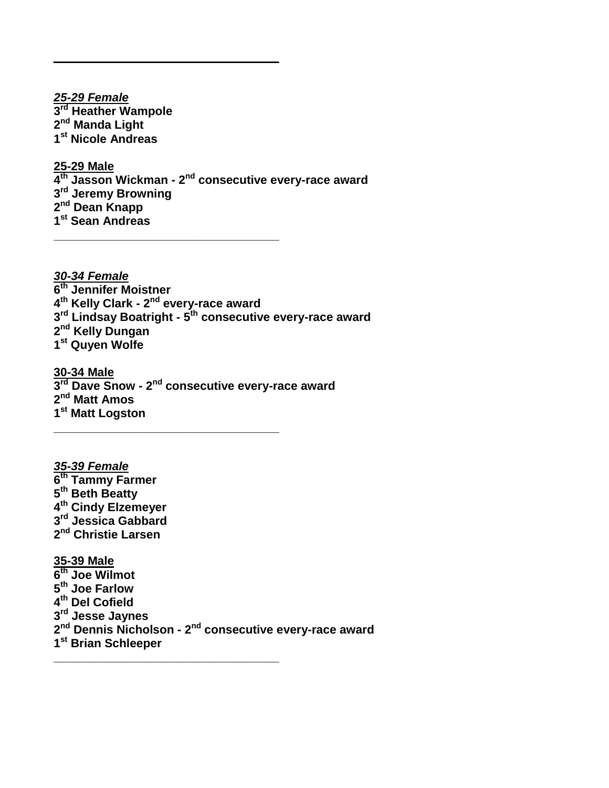*25-29 Female* **rd Heather Wampole nd Manda Light st Nicole Andreas**

*\_\_\_\_\_\_\_\_\_\_\_\_\_\_\_\_\_\_\_\_\_\_\_\_\_\_\_\_\_\_\_\_\_\_*

**\_\_\_\_\_\_\_\_\_\_\_\_\_\_\_\_\_\_\_\_\_\_\_\_\_\_\_\_\_\_\_\_\_\_**

**25-29 Male**

 **th Jasson Wickman - 2 nd consecutive every-race award rd Jeremy Browning nd Dean Knapp st Sean Andreas**

*30-34 Female* **th Jennifer Moistner th Kelly Clark - 2 nd every-race award rd Lindsay Boatright - 5 th consecutive every-race award nd Kelly Dungan st Quyen Wolfe** 

**30-34 Male rd Dave Snow - 2 nd consecutive every-race award nd Matt Amos st Matt Logston \_\_\_\_\_\_\_\_\_\_\_\_\_\_\_\_\_\_\_\_\_\_\_\_\_\_\_\_\_\_\_\_\_\_**

*35-39 Female* **th Tammy Farmer th Beth Beatty th Cindy Elzemeyer rd Jessica Gabbard nd Christie Larsen 35-39 Male th Joe Wilmot th Joe Farlow th Del Cofield rd Jesse Jaynes nd Dennis Nicholson - 2 nd consecutive every-race award st Brian Schleeper \_\_\_\_\_\_\_\_\_\_\_\_\_\_\_\_\_\_\_\_\_\_\_\_\_\_\_\_\_\_\_\_\_\_**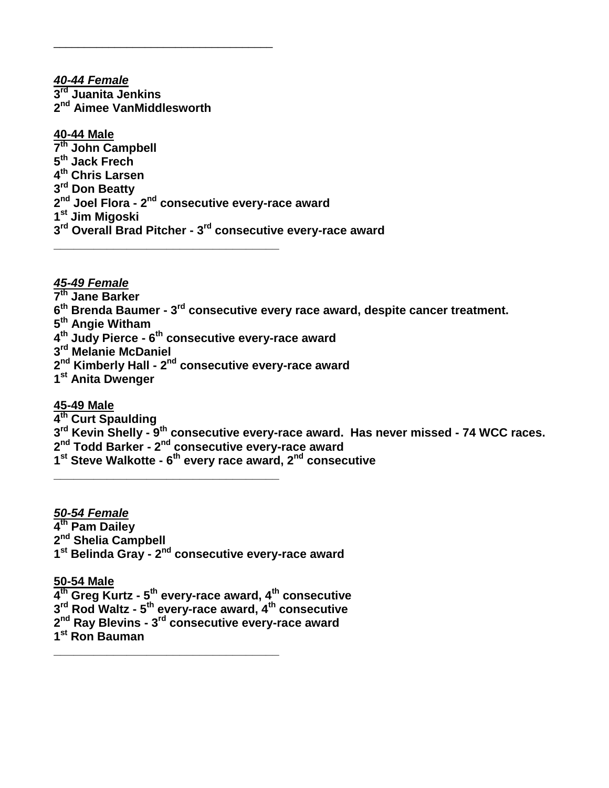*40-44 Female* **rd Juanita Jenkins nd Aimee VanMiddlesworth**

\_\_\_\_\_\_\_\_\_\_\_\_\_\_\_\_\_\_\_\_\_\_\_\_\_\_\_\_\_\_\_\_\_\_\_\_

**\_\_\_\_\_\_\_\_\_\_\_\_\_\_\_\_\_\_\_\_\_\_\_\_\_\_\_\_\_\_\_\_\_\_**

**40-44 Male th John Campbell th Jack Frech th Chris Larsen rd Don Beatty nd Joel Flora - 2 nd consecutive every-race award st Jim Migoski rd Overall Brad Pitcher - 3 rd consecutive every-race award**

### *45-49 Female*

- **th Jane Barker**
- **th Brenda Baumer - 3 rd consecutive every race award, despite cancer treatment.**
- **th Angie Witham**
- **th Judy Pierce - 6 th consecutive every-race award**
- **rd Melanie McDaniel**
- **nd Kimberly Hall - 2 nd consecutive every-race award**
- **st Anita Dwenger**

### **45-49 Male**

- **th Curt Spaulding**
- **rd Kevin Shelly - 9 th consecutive every-race award. Has never missed - 74 WCC races.**
- **nd Todd Barker - 2 nd consecutive every-race award**

**\_\_\_\_\_\_\_\_\_\_\_\_\_\_\_\_\_\_\_\_\_\_\_\_\_\_\_\_\_\_\_\_\_\_**

**\_\_\_\_\_\_\_\_\_\_\_\_\_\_\_\_\_\_\_\_\_\_\_\_\_\_\_\_\_\_\_\_\_\_**

**st Steve Walkotte - 6 th every race award, 2nd consecutive**

*50-54 Female*

- **th Pam Dailey**
- **nd Shelia Campbell**
- **st Belinda Gray - 2 nd consecutive every-race award**

**50-54 Male**

**th Greg Kurtz - 5 th every-race award, 4th consecutive**

**rd Rod Waltz - 5 th every-race award, 4th consecutive**

- **nd Ray Blevins - 3 rd consecutive every-race award**
- **st Ron Bauman**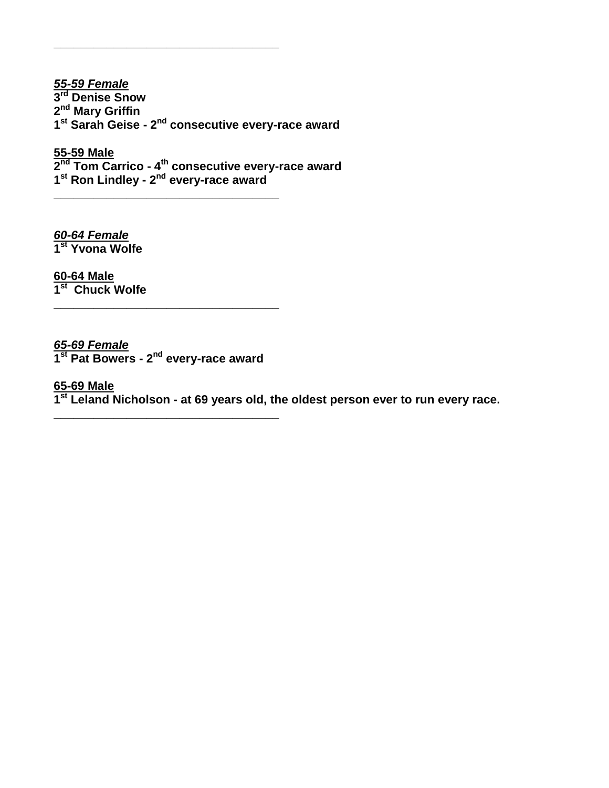*55-59 Female* **rd Denise Snow nd Mary Griffin st Sarah Geise - 2 nd consecutive every-race award**

**\_\_\_\_\_\_\_\_\_\_\_\_\_\_\_\_\_\_\_\_\_\_\_\_\_\_\_\_\_\_\_\_\_\_**

**\_\_\_\_\_\_\_\_\_\_\_\_\_\_\_\_\_\_\_\_\_\_\_\_\_\_\_\_\_\_\_\_\_\_**

**55-59 Male 2 nd Tom Carrico - 4 th consecutive every-race award 1 st Ron Lindley - 2 nd every-race award**

*60-64 Female* **1 st Yvona Wolfe** 

**60-64 Male 1 st Chuck Wolfe**

### *65-69 Female*

**1 st Pat Bowers - 2 nd every-race award**

**\_\_\_\_\_\_\_\_\_\_\_\_\_\_\_\_\_\_\_\_\_\_\_\_\_\_\_\_\_\_\_\_\_\_**

**\_\_\_\_\_\_\_\_\_\_\_\_\_\_\_\_\_\_\_\_\_\_\_\_\_\_\_\_\_\_\_\_\_\_**

### **65-69 Male**

**1 st Leland Nicholson - at 69 years old, the oldest person ever to run every race.**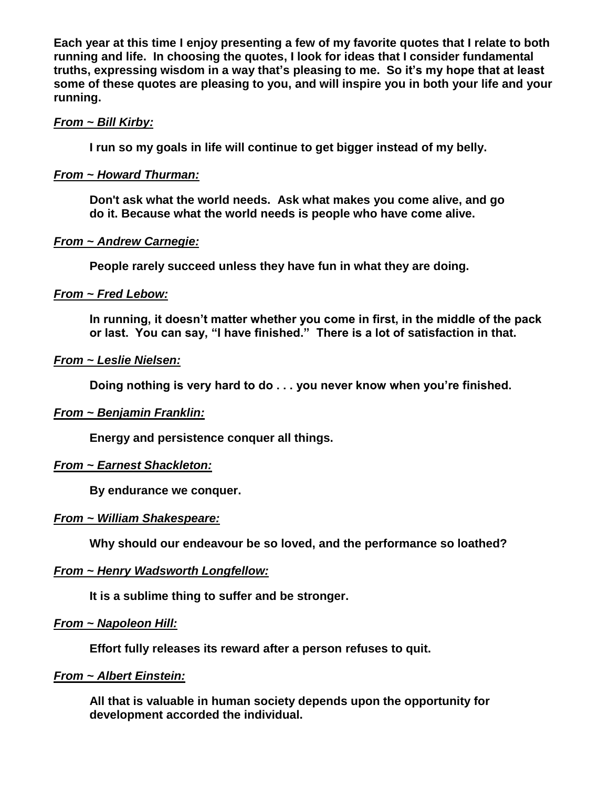**Each year at this time I enjoy presenting a few of my favorite quotes that I relate to both running and life. In choosing the quotes, I look for ideas that I consider fundamental truths, expressing wisdom in a way that's pleasing to me. So it's my hope that at least some of these quotes are pleasing to you, and will inspire you in both your life and your running.** 

### *From ~ Bill Kirby:*

**I run so my goals in life will continue to get bigger instead of my belly.**

### *From ~ Howard Thurman:*

**Don't ask what the world needs. Ask what makes you come alive, and go do it. Because what the world needs is people who have come alive.**

### *From ~ Andrew Carnegie:*

**People rarely succeed unless they have fun in what they are doing.**

### *From ~ Fred Lebow:*

**In running, it doesn't matter whether you come in first, in the middle of the pack or last. You can say, "I have finished." There is a lot of satisfaction in that.**

### *From ~ Leslie Nielsen:*

**Doing nothing is very hard to do . . . you never know when you're finished.**

### *From ~ Benjamin Franklin:*

**Energy and persistence conquer all things.**

### *From ~ Earnest Shackleton:*

**By endurance we conquer.**

### *From ~ William Shakespeare:*

**Why should our endeavour be so loved, and the performance so loathed?**

### *From ~ Henry Wadsworth Longfellow:*

**It is a sublime thing to suffer and be stronger.**

### *From ~ Napoleon Hill:*

**Effort fully releases its reward after a person refuses to quit.**

### *From ~ Albert Einstein:*

**All that is valuable in human society depends upon the opportunity for development accorded the individual.**